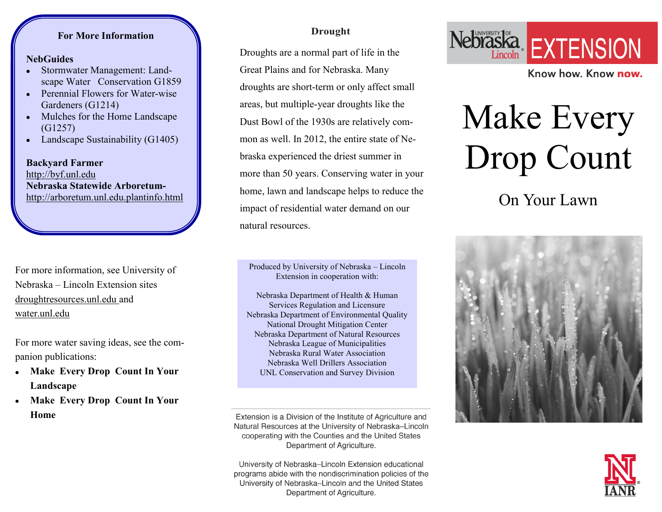### **For More Information**

#### **For More Information NebGuides**

- **NebGuides** Stormwater Management: Land-Stormwater Management: Land-scape Water Conservation G1859
- scape Water Conservation G1859 Perennial Flowers for Water-wise  $\bullet$ Perennial Flowers for Water-wise Gardeners (G1214)
- Gardeners (G1214) Mulches for the Home Landscape  $\bullet$ (G1257)
- $(91257)$ Landscape Sustainability (G1405) Landscape Sustainability (G1405)

**Backyard Farmer** - http://byf.unl.edu http://byf.unl.edu **Nebraska Statewide Arboretum-Nebraska Statewide Arboretum**[http://arboretum.unl.edu/planti](http://arboretum.unl.edu/plantinfo.html)afo http://arboretum.unl.edu.planti[nfo.html](http://arboretum.unl.edu/plantinfo.html) **Backyard Farmer** 

For more information, see University of Nebraska – Lincoln Extension sites droughtresources.unl.edu and water.unl.edu

For more water saving ideas, see the companion publications:

- **Make Every Drop Count In Your Landscape**
- **Make Every Drop Count In Your Home**

### **Drought**

Droughts are a normal part of life in the Great Plains and for Nebraska. Many droughts are short-term or only affect small areas, but multiple-year droughts like the Dust Bowl of the 1930s are relatively common as well. In 2012, the entire state of Nebraska experienced the driest summer in more than 50 years. Conserving water in your home, lawn and landscape helps to reduce the impact of residential water demand on our natural resources.

Produced by University of Nebraska – Lincoln Extension in cooperation with:

Nebraska Department of Health & Human Services Regulation and Licensure Nebraska Department of Environmental Quality National Drought Mitigation Center Nebraska Department of Natural Resources Nebraska League of Municipalities Nebraska Rural Water Association Nebraska Well Drillers Association UNL Conservation and Survey Division

Extension is a Division of the Institute of Agriculture and Natural Resources at the University of Nebraska-Lincoln cooperating with the Counties and the United States Department of Agriculture.

University of Nebraska–Lincoln Extension educational programs abide with the nondiscrimination policies of the University of Nebraska–Lincoln and the United States Department of Agriculture.



Know how, Know now.

# Make Every Drop Count

On Your Lawn